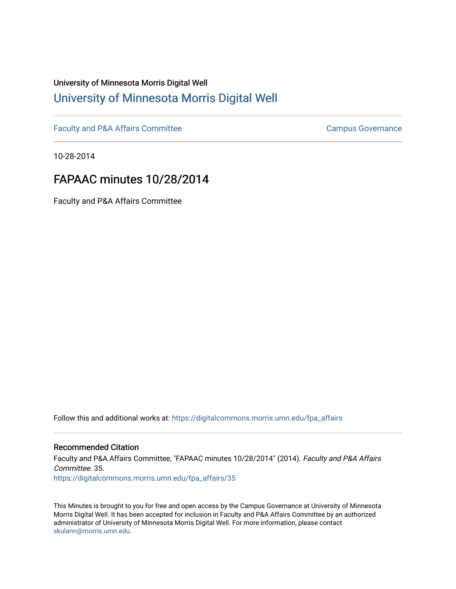# University of Minnesota Morris Digital Well [University of Minnesota Morris Digital Well](https://digitalcommons.morris.umn.edu/)

[Faculty and P&A Affairs Committee](https://digitalcommons.morris.umn.edu/fpa_affairs) [Campus Governance](https://digitalcommons.morris.umn.edu/campgov) Campus Governance

10-28-2014

## FAPAAC minutes 10/28/2014

Faculty and P&A Affairs Committee

Follow this and additional works at: [https://digitalcommons.morris.umn.edu/fpa\\_affairs](https://digitalcommons.morris.umn.edu/fpa_affairs?utm_source=digitalcommons.morris.umn.edu%2Ffpa_affairs%2F35&utm_medium=PDF&utm_campaign=PDFCoverPages)

## Recommended Citation

Faculty and P&A Affairs Committee, "FAPAAC minutes 10/28/2014" (2014). Faculty and P&A Affairs Committee. 35. [https://digitalcommons.morris.umn.edu/fpa\\_affairs/35](https://digitalcommons.morris.umn.edu/fpa_affairs/35?utm_source=digitalcommons.morris.umn.edu%2Ffpa_affairs%2F35&utm_medium=PDF&utm_campaign=PDFCoverPages) 

This Minutes is brought to you for free and open access by the Campus Governance at University of Minnesota Morris Digital Well. It has been accepted for inclusion in Faculty and P&A Affairs Committee by an authorized administrator of University of Minnesota Morris Digital Well. For more information, please contact [skulann@morris.umn.edu.](mailto:skulann@morris.umn.edu)